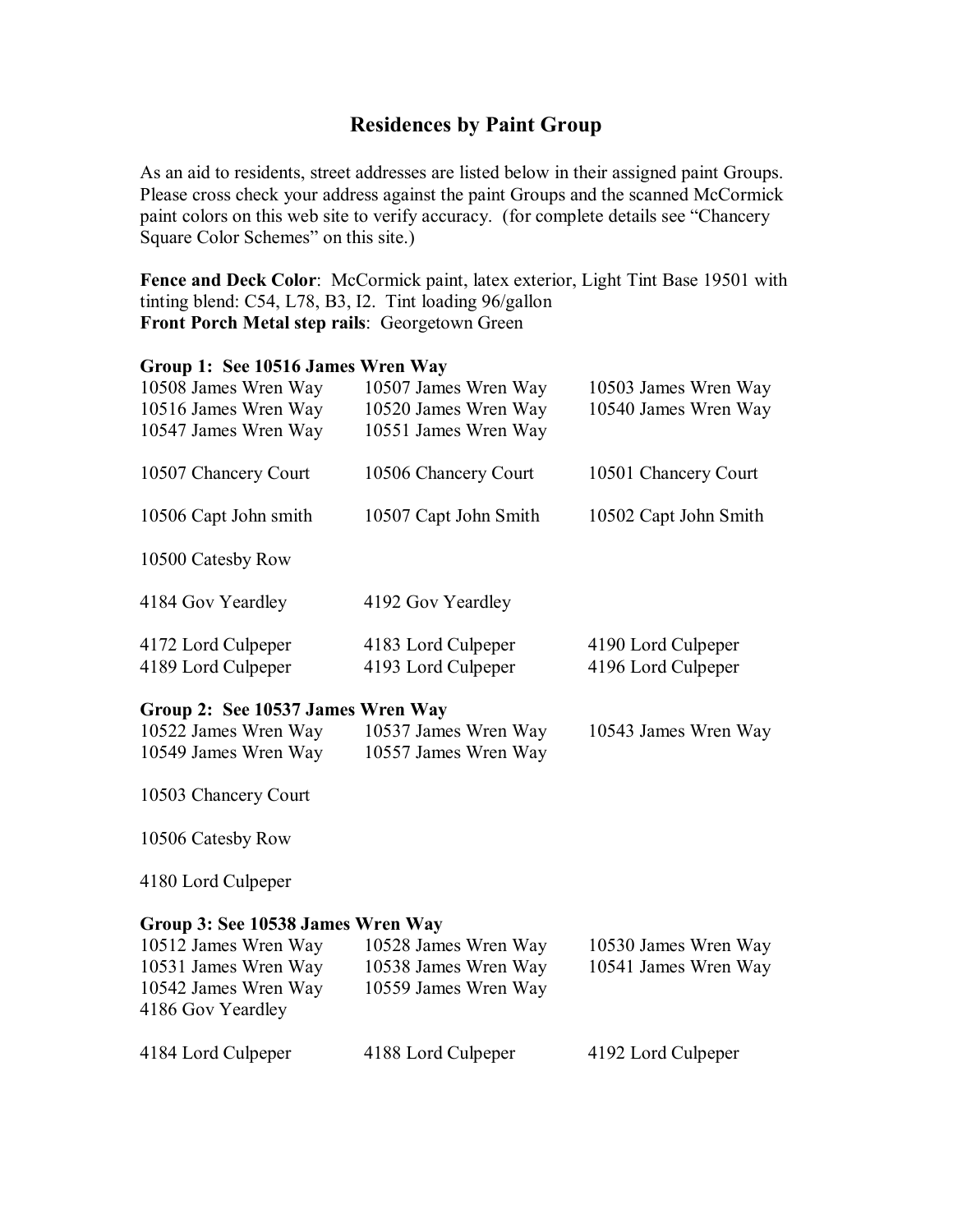## **Residences by Paint Group**

As an aid to residents, street addresses are listed below in their assigned paint Groups. Please cross check your address against the paint Groups and the scanned McCormick paint colors on this web site to verify accuracy. (for complete details see "Chancery Square Color Schemes" on this site.)

Fence and Deck Color: McCormick paint, latex exterior, Light Tint Base 19501 with tinting blend: C54, L78, B3, I2. Tint loading 96/gallon **Front Porch Metal step rails**: Georgetown Green

### **Group 1: See 10516 James Wren Way**

| 10508 James Wren Way<br>10516 James Wren Way<br>10547 James Wren Way | 10507 James Wren Way<br>10520 James Wren Way<br>10551 James Wren Way | 10503 James Wren Way<br>10540 James Wren Way |
|----------------------------------------------------------------------|----------------------------------------------------------------------|----------------------------------------------|
| 10507 Chancery Court                                                 | 10506 Chancery Court                                                 | 10501 Chancery Court                         |
| 10506 Capt John smith                                                | 10507 Capt John Smith                                                | 10502 Capt John Smith                        |
| 10500 Catesby Row                                                    |                                                                      |                                              |
| 4184 Gov Yeardley                                                    | 4192 Gov Yeardley                                                    |                                              |
| 4172 Lord Culpeper<br>4189 Lord Culpeper                             | 4183 Lord Culpeper<br>4193 Lord Culpeper                             | 4190 Lord Culpeper<br>4196 Lord Culpeper     |

#### **Group 2: See 10537 James Wren Way**

| 10522 James Wren Way | 10537 James Wren Way | 10543 James Wren Way |
|----------------------|----------------------|----------------------|
| 10549 James Wren Way | 10557 James Wren Way |                      |

10503 Chancery Court

10506 Catesby Row

4180 Lord Culpeper

#### **Group 3: See 10538 James Wren Way**

| 10512 James Wren Way<br>10531 James Wren Way<br>10542 James Wren Way<br>4186 Gov Yeardley | 10528 James Wren Way<br>10538 James Wren Way<br>10559 James Wren Way | 10530 James Wren Way<br>10541 James Wren Way |
|-------------------------------------------------------------------------------------------|----------------------------------------------------------------------|----------------------------------------------|
| 4184 Lord Culpeper                                                                        | 4188 Lord Culpeper                                                   | 4192 Lord Culpeper                           |